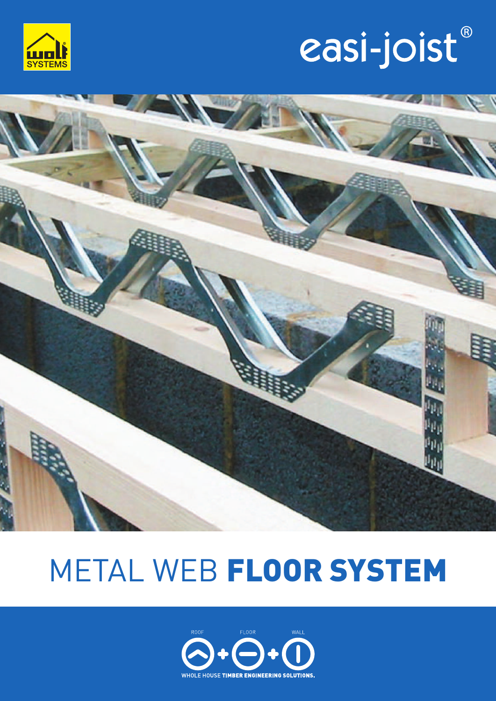

# easi-joist®



# METAL WEB **FLOOR SYSTEM**